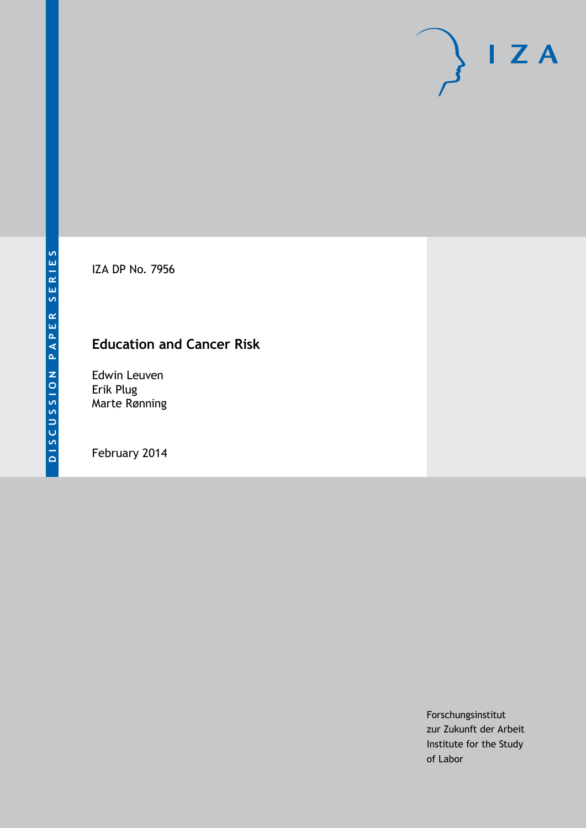IZA DP No. 7956

# **Education and Cancer Risk**

Edwin Leuven Erik Plug Marte Rønning

February 2014

Forschungsinstitut zur Zukunft der Arbeit Institute for the Study of Labor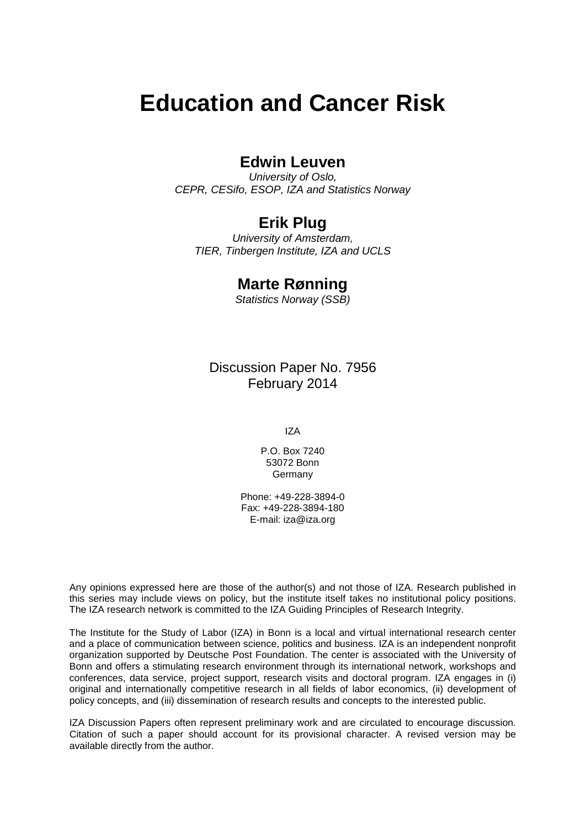# **Education and Cancer Risk**

# **Edwin Leuven**

*University of Oslo, CEPR, CESifo, ESOP, IZA and Statistics Norway*

# **Erik Plug**

*University of Amsterdam, TIER, Tinbergen Institute, IZA and UCLS*

## **Marte Rønning**

*Statistics Norway (SSB)*

Discussion Paper No. 7956 February 2014

IZA

P.O. Box 7240 53072 Bonn Germany

Phone: +49-228-3894-0 Fax: +49-228-3894-180 E-mail: [iza@iza.org](mailto:iza@iza.org)

Any opinions expressed here are those of the author(s) and not those of IZA. Research published in this series may include views on policy, but the institute itself takes no institutional policy positions. The IZA research network is committed to the IZA Guiding Principles of Research Integrity.

The Institute for the Study of Labor (IZA) in Bonn is a local and virtual international research center and a place of communication between science, politics and business. IZA is an independent nonprofit organization supported by Deutsche Post Foundation. The center is associated with the University of Bonn and offers a stimulating research environment through its international network, workshops and conferences, data service, project support, research visits and doctoral program. IZA engages in (i) original and internationally competitive research in all fields of labor economics, (ii) development of policy concepts, and (iii) dissemination of research results and concepts to the interested public.

<span id="page-1-0"></span>IZA Discussion Papers often represent preliminary work and are circulated to encourage discussion. Citation of such a paper should account for its provisional character. A revised version may be available directly from the author.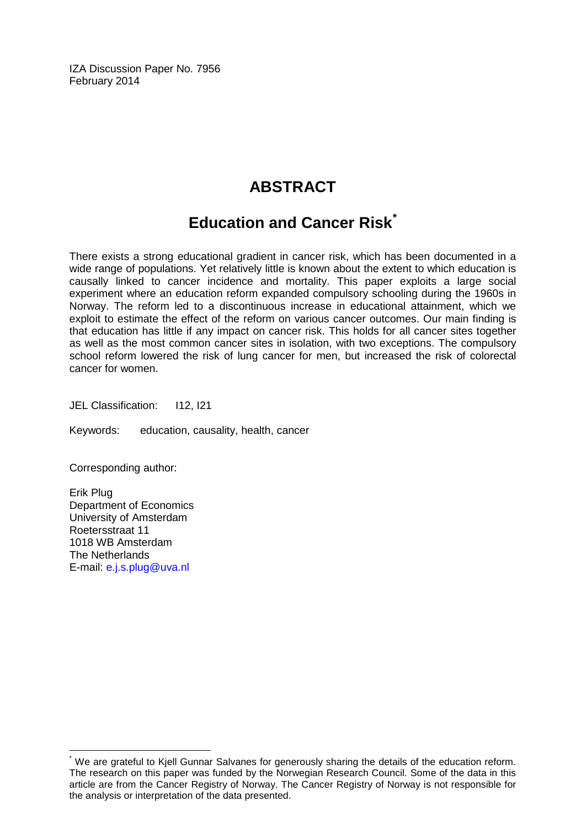IZA Discussion Paper No. 7956 February 2014

# **ABSTRACT**

# **Education and Cancer Risk[\\*](#page-1-0)**

There exists a strong educational gradient in cancer risk, which has been documented in a wide range of populations. Yet relatively little is known about the extent to which education is causally linked to cancer incidence and mortality. This paper exploits a large social experiment where an education reform expanded compulsory schooling during the 1960s in Norway. The reform led to a discontinuous increase in educational attainment, which we exploit to estimate the effect of the reform on various cancer outcomes. Our main finding is that education has little if any impact on cancer risk. This holds for all cancer sites together as well as the most common cancer sites in isolation, with two exceptions. The compulsory school reform lowered the risk of lung cancer for men, but increased the risk of colorectal cancer for women.

JEL Classification: I12, I21

Keywords: education, causality, health, cancer

Corresponding author:

Erik Plug Department of Economics University of Amsterdam Roetersstraat 11 1018 WB Amsterdam The Netherlands E-mail: [e.j.s.plug@uva.nl](mailto:e.j.s.plug@uva.nl)

We are grateful to Kiell Gunnar Salvanes for generously sharing the details of the education reform. The research on this paper was funded by the Norwegian Research Council. Some of the data in this article are from the Cancer Registry of Norway. The Cancer Registry of Norway is not responsible for the analysis or interpretation of the data presented.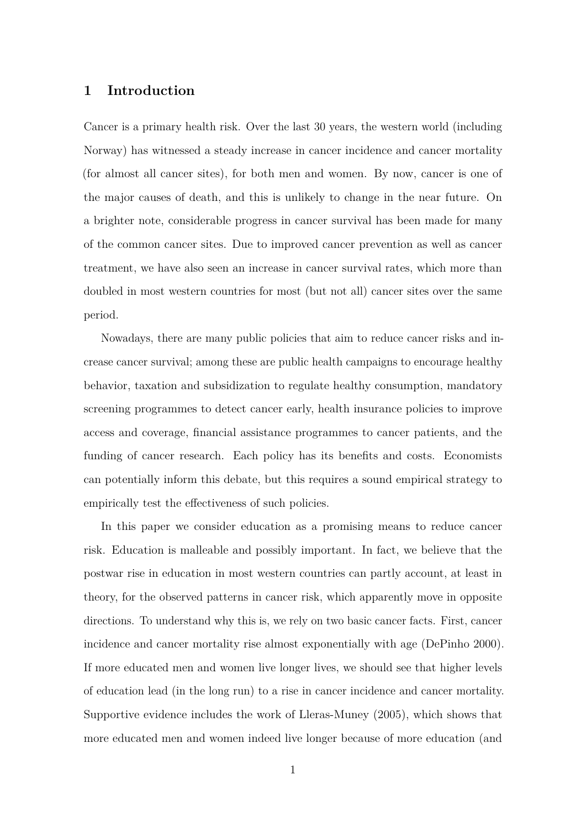#### **1 Introduction**

Cancer is a primary health risk. Over the last 30 years, the western world (including Norway) has witnessed a steady increase in cancer incidence and cancer mortality (for almost all cancer sites), for both men and women. By now, cancer is one of the major causes of death, and this is unlikely to change in the near future. On a brighter note, considerable progress in cancer survival has been made for many of the common cancer sites. Due to improved cancer prevention as well as cancer treatment, we have also seen an increase in cancer survival rates, which more than doubled in most western countries for most (but not all) cancer sites over the same period.

Nowadays, there are many public policies that aim to reduce cancer risks and increase cancer survival; among these are public health campaigns to encourage healthy behavior, taxation and subsidization to regulate healthy consumption, mandatory screening programmes to detect cancer early, health insurance policies to improve access and coverage, financial assistance programmes to cancer patients, and the funding of cancer research. Each policy has its benefits and costs. Economists can potentially inform this debate, but this requires a sound empirical strategy to empirically test the effectiveness of such policies.

In this paper we consider education as a promising means to reduce cancer risk. Education is malleable and possibly important. In fact, we believe that the postwar rise in education in most western countries can partly account, at least in theory, for the observed patterns in cancer risk, which apparently move in opposite directions. To understand why this is, we rely on two basic cancer facts. First, cancer incidence and cancer mortality rise almost exponentially with age (DePinho 2000). If more educated men and women live longer lives, we should see that higher levels of education lead (in the long run) to a rise in cancer incidence and cancer mortality. Supportive evidence includes the work of Lleras-Muney (2005), which shows that more educated men and women indeed live longer because of more education (and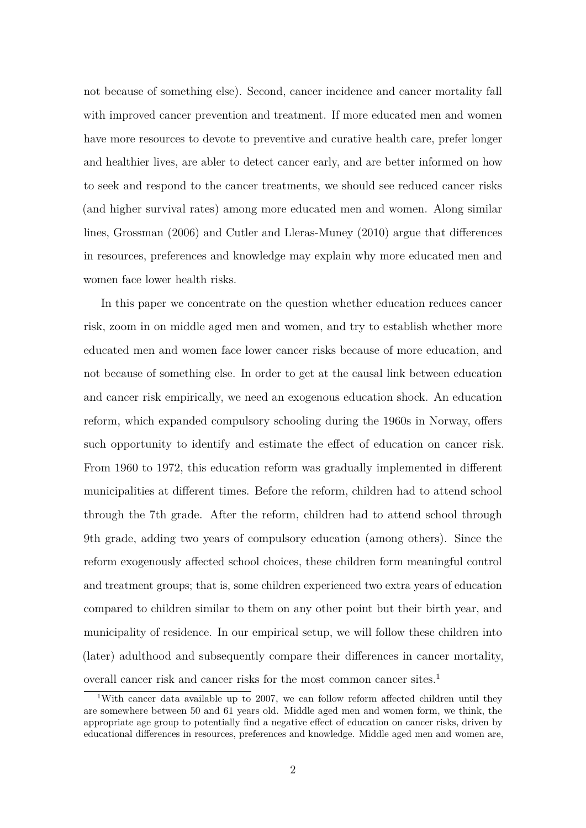not because of something else). Second, cancer incidence and cancer mortality fall with improved cancer prevention and treatment. If more educated men and women have more resources to devote to preventive and curative health care, prefer longer and healthier lives, are abler to detect cancer early, and are better informed on how to seek and respond to the cancer treatments, we should see reduced cancer risks (and higher survival rates) among more educated men and women. Along similar lines, Grossman (2006) and Cutler and Lleras-Muney (2010) argue that differences in resources, preferences and knowledge may explain why more educated men and women face lower health risks.

In this paper we concentrate on the question whether education reduces cancer risk, zoom in on middle aged men and women, and try to establish whether more educated men and women face lower cancer risks because of more education, and not because of something else. In order to get at the causal link between education and cancer risk empirically, we need an exogenous education shock. An education reform, which expanded compulsory schooling during the 1960s in Norway, offers such opportunity to identify and estimate the effect of education on cancer risk. From 1960 to 1972, this education reform was gradually implemented in different municipalities at different times. Before the reform, children had to attend school through the 7th grade. After the reform, children had to attend school through 9th grade, adding two years of compulsory education (among others). Since the reform exogenously affected school choices, these children form meaningful control and treatment groups; that is, some children experienced two extra years of education compared to children similar to them on any other point but their birth year, and municipality of residence. In our empirical setup, we will follow these children into (later) adulthood and subsequently compare their differences in cancer mortality, overall cancer risk and cancer risks for the most common cancer sites.<sup>1</sup>

<sup>&</sup>lt;sup>1</sup>With cancer data available up to 2007, we can follow reform affected children until they are somewhere between 50 and 61 years old. Middle aged men and women form, we think, the appropriate age group to potentially find a negative effect of education on cancer risks, driven by educational differences in resources, preferences and knowledge. Middle aged men and women are,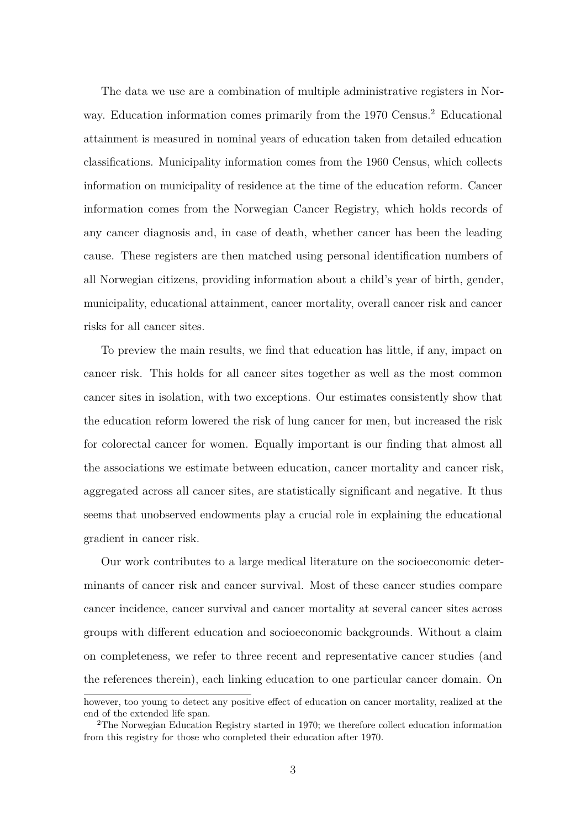The data we use are a combination of multiple administrative registers in Norway. Education information comes primarily from the 1970 Census.<sup>2</sup> Educational attainment is measured in nominal years of education taken from detailed education classifications. Municipality information comes from the 1960 Census, which collects information on municipality of residence at the time of the education reform. Cancer information comes from the Norwegian Cancer Registry, which holds records of any cancer diagnosis and, in case of death, whether cancer has been the leading cause. These registers are then matched using personal identification numbers of all Norwegian citizens, providing information about a child's year of birth, gender, municipality, educational attainment, cancer mortality, overall cancer risk and cancer risks for all cancer sites.

To preview the main results, we find that education has little, if any, impact on cancer risk. This holds for all cancer sites together as well as the most common cancer sites in isolation, with two exceptions. Our estimates consistently show that the education reform lowered the risk of lung cancer for men, but increased the risk for colorectal cancer for women. Equally important is our finding that almost all the associations we estimate between education, cancer mortality and cancer risk, aggregated across all cancer sites, are statistically significant and negative. It thus seems that unobserved endowments play a crucial role in explaining the educational gradient in cancer risk.

Our work contributes to a large medical literature on the socioeconomic determinants of cancer risk and cancer survival. Most of these cancer studies compare cancer incidence, cancer survival and cancer mortality at several cancer sites across groups with different education and socioeconomic backgrounds. Without a claim on completeness, we refer to three recent and representative cancer studies (and the references therein), each linking education to one particular cancer domain. On

however, too young to detect any positive effect of education on cancer mortality, realized at the end of the extended life span.

<sup>&</sup>lt;sup>2</sup>The Norwegian Education Registry started in 1970; we therefore collect education information from this registry for those who completed their education after 1970.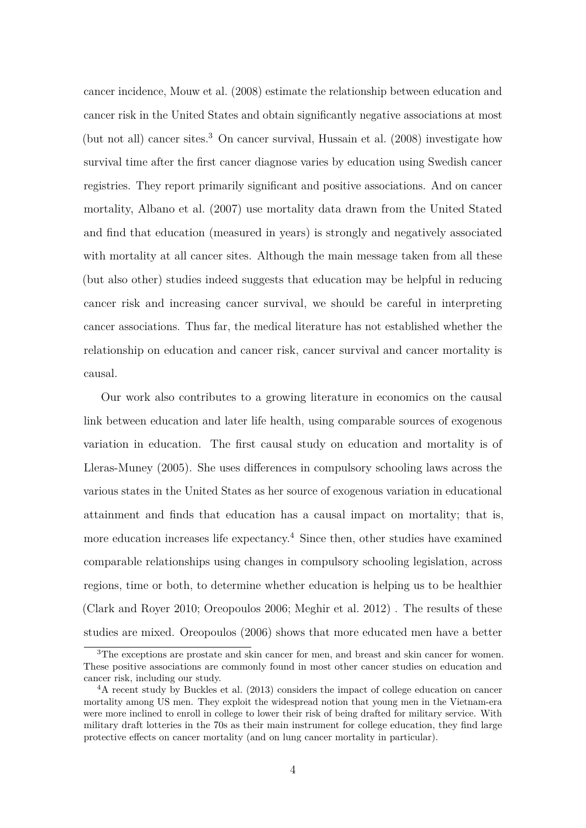cancer incidence, Mouw et al. (2008) estimate the relationship between education and cancer risk in the United States and obtain significantly negative associations at most (but not all) cancer sites.<sup>3</sup> On cancer survival, Hussain et al. (2008) investigate how survival time after the first cancer diagnose varies by education using Swedish cancer registries. They report primarily significant and positive associations. And on cancer mortality, Albano et al. (2007) use mortality data drawn from the United Stated and find that education (measured in years) is strongly and negatively associated with mortality at all cancer sites. Although the main message taken from all these (but also other) studies indeed suggests that education may be helpful in reducing cancer risk and increasing cancer survival, we should be careful in interpreting cancer associations. Thus far, the medical literature has not established whether the relationship on education and cancer risk, cancer survival and cancer mortality is causal.

Our work also contributes to a growing literature in economics on the causal link between education and later life health, using comparable sources of exogenous variation in education. The first causal study on education and mortality is of Lleras-Muney (2005). She uses differences in compulsory schooling laws across the various states in the United States as her source of exogenous variation in educational attainment and finds that education has a causal impact on mortality; that is, more education increases life expectancy.<sup>4</sup> Since then, other studies have examined comparable relationships using changes in compulsory schooling legislation, across regions, time or both, to determine whether education is helping us to be healthier (Clark and Royer 2010; Oreopoulos 2006; Meghir et al. 2012) . The results of these studies are mixed. Oreopoulos (2006) shows that more educated men have a better

<sup>&</sup>lt;sup>3</sup>The exceptions are prostate and skin cancer for men, and breast and skin cancer for women. These positive associations are commonly found in most other cancer studies on education and cancer risk, including our study.

<sup>4</sup>A recent study by Buckles et al. (2013) considers the impact of college education on cancer mortality among US men. They exploit the widespread notion that young men in the Vietnam-era were more inclined to enroll in college to lower their risk of being drafted for military service. With military draft lotteries in the 70s as their main instrument for college education, they find large protective effects on cancer mortality (and on lung cancer mortality in particular).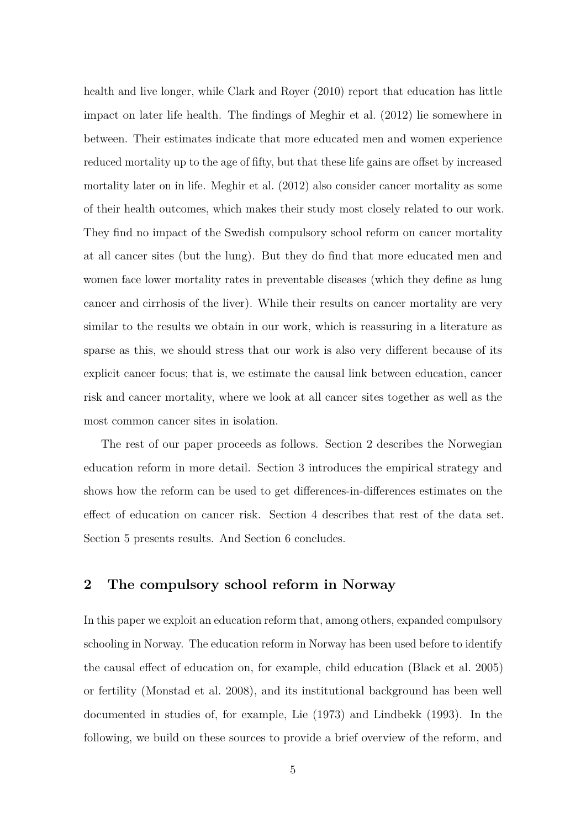health and live longer, while Clark and Royer (2010) report that education has little impact on later life health. The findings of Meghir et al. (2012) lie somewhere in between. Their estimates indicate that more educated men and women experience reduced mortality up to the age of fifty, but that these life gains are offset by increased mortality later on in life. Meghir et al. (2012) also consider cancer mortality as some of their health outcomes, which makes their study most closely related to our work. They find no impact of the Swedish compulsory school reform on cancer mortality at all cancer sites (but the lung). But they do find that more educated men and women face lower mortality rates in preventable diseases (which they define as lung cancer and cirrhosis of the liver). While their results on cancer mortality are very similar to the results we obtain in our work, which is reassuring in a literature as sparse as this, we should stress that our work is also very different because of its explicit cancer focus; that is, we estimate the causal link between education, cancer risk and cancer mortality, where we look at all cancer sites together as well as the most common cancer sites in isolation.

The rest of our paper proceeds as follows. Section 2 describes the Norwegian education reform in more detail. Section 3 introduces the empirical strategy and shows how the reform can be used to get differences-in-differences estimates on the effect of education on cancer risk. Section 4 describes that rest of the data set. Section 5 presents results. And Section 6 concludes.

### **2 The compulsory school reform in Norway**

In this paper we exploit an education reform that, among others, expanded compulsory schooling in Norway. The education reform in Norway has been used before to identify the causal effect of education on, for example, child education (Black et al. 2005) or fertility (Monstad et al. 2008), and its institutional background has been well documented in studies of, for example, Lie (1973) and Lindbekk (1993). In the following, we build on these sources to provide a brief overview of the reform, and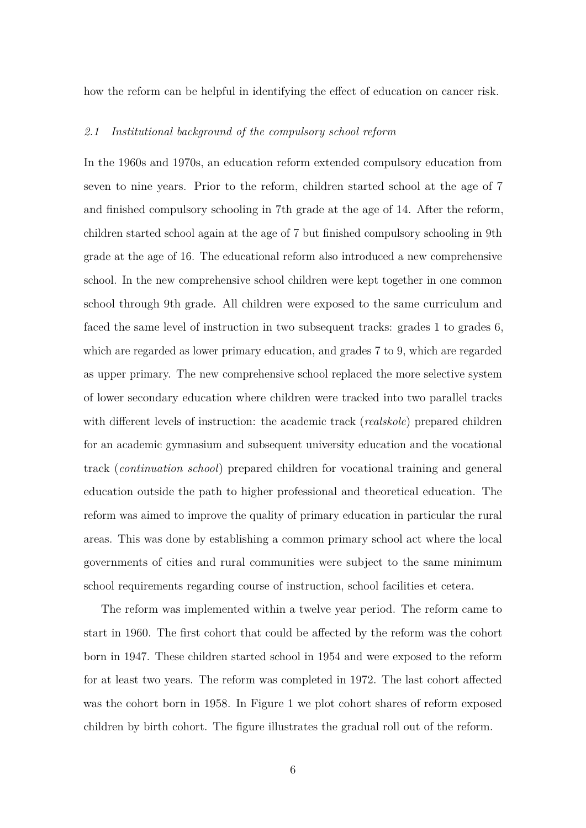how the reform can be helpful in identifying the effect of education on cancer risk.

#### *2.1 Institutional background of the compulsory school reform*

In the 1960s and 1970s, an education reform extended compulsory education from seven to nine years. Prior to the reform, children started school at the age of 7 and finished compulsory schooling in 7th grade at the age of 14. After the reform, children started school again at the age of 7 but finished compulsory schooling in 9th grade at the age of 16. The educational reform also introduced a new comprehensive school. In the new comprehensive school children were kept together in one common school through 9th grade. All children were exposed to the same curriculum and faced the same level of instruction in two subsequent tracks: grades 1 to grades 6, which are regarded as lower primary education, and grades 7 to 9, which are regarded as upper primary. The new comprehensive school replaced the more selective system of lower secondary education where children were tracked into two parallel tracks with different levels of instruction: the academic track (*realskole*) prepared children for an academic gymnasium and subsequent university education and the vocational track (*continuation school*) prepared children for vocational training and general education outside the path to higher professional and theoretical education. The reform was aimed to improve the quality of primary education in particular the rural areas. This was done by establishing a common primary school act where the local governments of cities and rural communities were subject to the same minimum school requirements regarding course of instruction, school facilities et cetera.

The reform was implemented within a twelve year period. The reform came to start in 1960. The first cohort that could be affected by the reform was the cohort born in 1947. These children started school in 1954 and were exposed to the reform for at least two years. The reform was completed in 1972. The last cohort affected was the cohort born in 1958. In Figure 1 we plot cohort shares of reform exposed children by birth cohort. The figure illustrates the gradual roll out of the reform.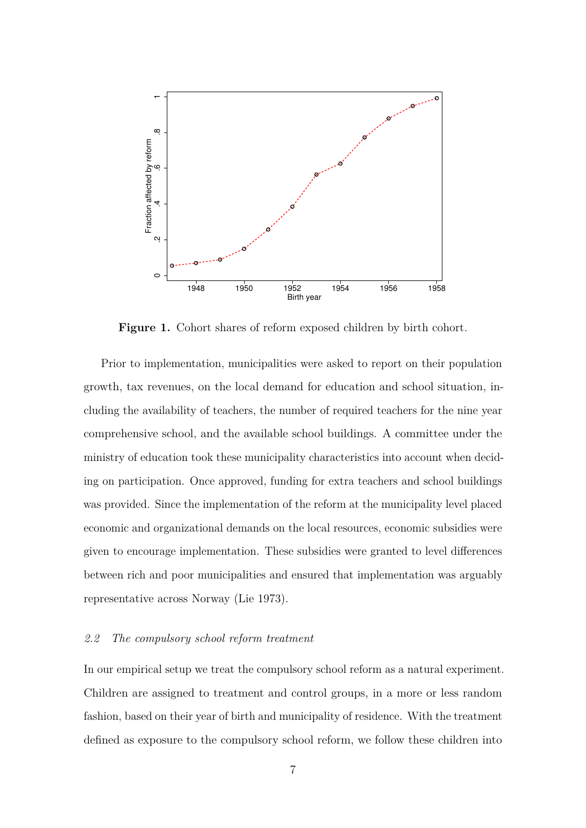

**Figure 1.** Cohort shares of reform exposed children by birth cohort.

Prior to implementation, municipalities were asked to report on their population growth, tax revenues, on the local demand for education and school situation, including the availability of teachers, the number of required teachers for the nine year comprehensive school, and the available school buildings. A committee under the ministry of education took these municipality characteristics into account when deciding on participation. Once approved, funding for extra teachers and school buildings was provided. Since the implementation of the reform at the municipality level placed economic and organizational demands on the local resources, economic subsidies were given to encourage implementation. These subsidies were granted to level differences between rich and poor municipalities and ensured that implementation was arguably representative across Norway (Lie 1973).

#### *2.2 The compulsory school reform treatment*

In our empirical setup we treat the compulsory school reform as a natural experiment. Children are assigned to treatment and control groups, in a more or less random fashion, based on their year of birth and municipality of residence. With the treatment defined as exposure to the compulsory school reform, we follow these children into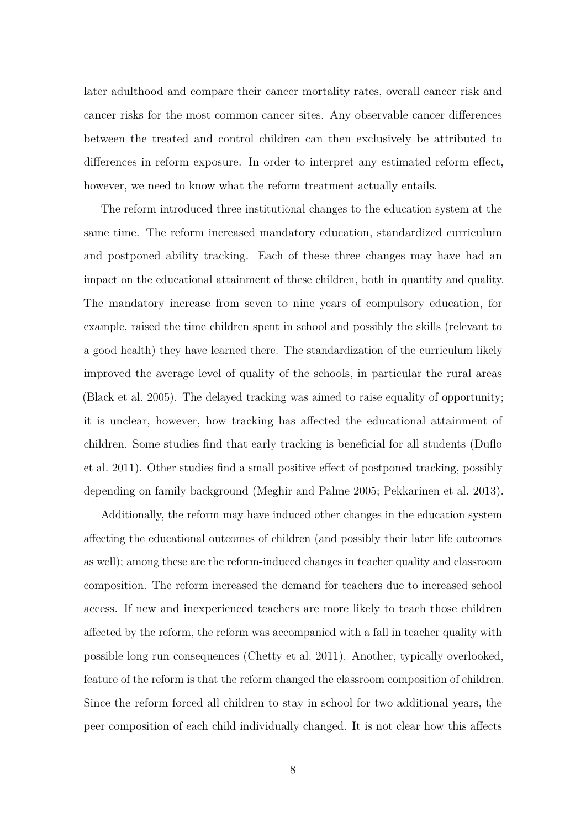later adulthood and compare their cancer mortality rates, overall cancer risk and cancer risks for the most common cancer sites. Any observable cancer differences between the treated and control children can then exclusively be attributed to differences in reform exposure. In order to interpret any estimated reform effect, however, we need to know what the reform treatment actually entails.

The reform introduced three institutional changes to the education system at the same time. The reform increased mandatory education, standardized curriculum and postponed ability tracking. Each of these three changes may have had an impact on the educational attainment of these children, both in quantity and quality. The mandatory increase from seven to nine years of compulsory education, for example, raised the time children spent in school and possibly the skills (relevant to a good health) they have learned there. The standardization of the curriculum likely improved the average level of quality of the schools, in particular the rural areas (Black et al. 2005). The delayed tracking was aimed to raise equality of opportunity; it is unclear, however, how tracking has affected the educational attainment of children. Some studies find that early tracking is beneficial for all students (Duflo et al. 2011). Other studies find a small positive effect of postponed tracking, possibly depending on family background (Meghir and Palme 2005; Pekkarinen et al. 2013).

Additionally, the reform may have induced other changes in the education system affecting the educational outcomes of children (and possibly their later life outcomes as well); among these are the reform-induced changes in teacher quality and classroom composition. The reform increased the demand for teachers due to increased school access. If new and inexperienced teachers are more likely to teach those children affected by the reform, the reform was accompanied with a fall in teacher quality with possible long run consequences (Chetty et al. 2011). Another, typically overlooked, feature of the reform is that the reform changed the classroom composition of children. Since the reform forced all children to stay in school for two additional years, the peer composition of each child individually changed. It is not clear how this affects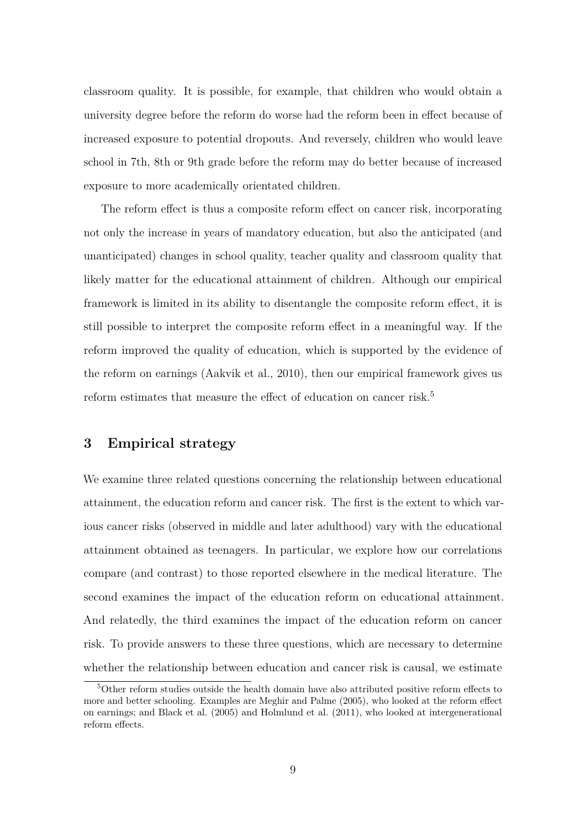classroom quality. It is possible, for example, that children who would obtain a university degree before the reform do worse had the reform been in effect because of increased exposure to potential dropouts. And reversely, children who would leave school in 7th, 8th or 9th grade before the reform may do better because of increased exposure to more academically orientated children.

The reform effect is thus a composite reform effect on cancer risk, incorporating not only the increase in years of mandatory education, but also the anticipated (and unanticipated) changes in school quality, teacher quality and classroom quality that likely matter for the educational attainment of children. Although our empirical framework is limited in its ability to disentangle the composite reform effect, it is still possible to interpret the composite reform effect in a meaningful way. If the reform improved the quality of education, which is supported by the evidence of the reform on earnings (Aakvik et al., 2010), then our empirical framework gives us reform estimates that measure the effect of education on cancer risk.<sup>5</sup>

### **3 Empirical strategy**

We examine three related questions concerning the relationship between educational attainment, the education reform and cancer risk. The first is the extent to which various cancer risks (observed in middle and later adulthood) vary with the educational attainment obtained as teenagers. In particular, we explore how our correlations compare (and contrast) to those reported elsewhere in the medical literature. The second examines the impact of the education reform on educational attainment. And relatedly, the third examines the impact of the education reform on cancer risk. To provide answers to these three questions, which are necessary to determine whether the relationship between education and cancer risk is causal, we estimate

<sup>5</sup>Other reform studies outside the health domain have also attributed positive reform effects to more and better schooling. Examples are Meghir and Palme (2005), who looked at the reform effect on earnings; and Black et al. (2005) and Holmlund et al. (2011), who looked at intergenerational reform effects.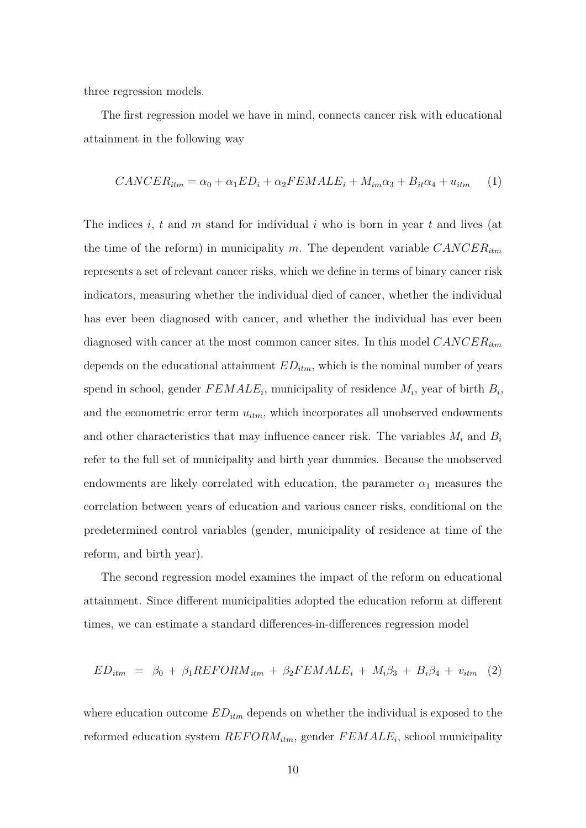three regression models.

The first regression model we have in mind, connects cancer risk with educational attainment in the following way

$$
CANCER_{itm} = \alpha_0 + \alpha_1 ED_i + \alpha_2 FEMALE_i + M_{im}\alpha_3 + B_{it}\alpha_4 + u_{itm} \tag{1}
$$

The indices *i*, *t* and *m* stand for individual *i* who is born in year *t* and lives (at the time of the reform) in municipality *m*. The dependent variable *CANCERitm* represents a set of relevant cancer risks, which we define in terms of binary cancer risk indicators, measuring whether the individual died of cancer, whether the individual has ever been diagnosed with cancer, and whether the individual has ever been diagnosed with cancer at the most common cancer sites. In this model *CANCERitm* depends on the educational attainment *EDitm*, which is the nominal number of years spend in school, gender  $FEMALE_i$ , municipality of residence  $M_i$ , year of birth  $B_i$ , and the econometric error term *uitm*, which incorporates all unobserved endowments and other characteristics that may influence cancer risk. The variables *M<sup>i</sup>* and *B<sup>i</sup>* refer to the full set of municipality and birth year dummies. Because the unobserved endowments are likely correlated with education, the parameter  $\alpha_1$  measures the correlation between years of education and various cancer risks, conditional on the predetermined control variables (gender, municipality of residence at time of the reform, and birth year).

The second regression model examines the impact of the reform on educational attainment. Since different municipalities adopted the education reform at different times, we can estimate a standard differences-in-differences regression model

$$
ED_{itm} = \beta_0 + \beta_1 REFORM_{itm} + \beta_2 FEMALE_i + M_i\beta_3 + B_i\beta_4 + v_{itm} \quad (2)
$$

where education outcome *EDitm* depends on whether the individual is exposed to the reformed education system  $REFORM_{itm}$ , gender  $FEMALE_i$ , school municipality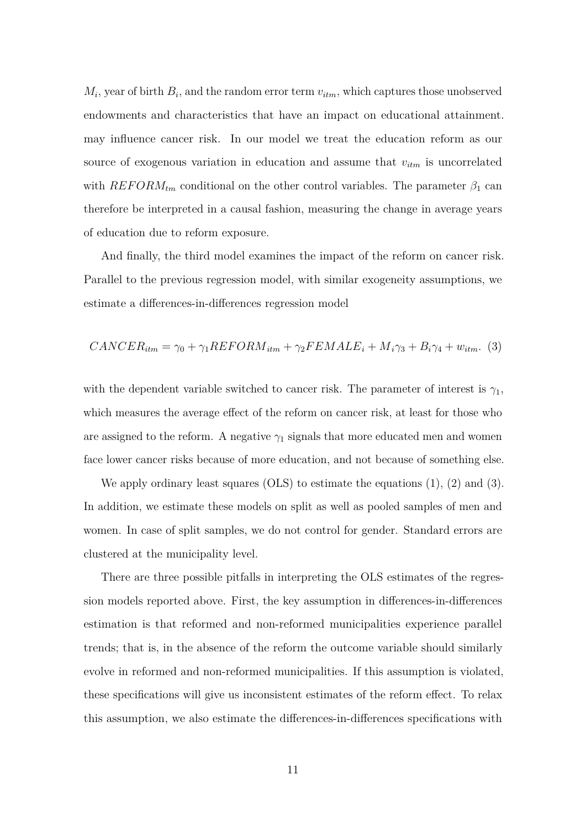$M_i$ , year of birth  $B_i$ , and the random error term  $v_{itm}$ , which captures those unobserved endowments and characteristics that have an impact on educational attainment. may influence cancer risk. In our model we treat the education reform as our source of exogenous variation in education and assume that *vitm* is uncorrelated with  $REFORM<sub>tm</sub>$  conditional on the other control variables. The parameter  $\beta_1$  can therefore be interpreted in a causal fashion, measuring the change in average years of education due to reform exposure.

And finally, the third model examines the impact of the reform on cancer risk. Parallel to the previous regression model, with similar exogeneity assumptions, we estimate a differences-in-differences regression model

$$
CANCER_{itm} = \gamma_0 + \gamma_1 REFORM_{itm} + \gamma_2 FEMALE_i + M_i\gamma_3 + B_i\gamma_4 + w_{itm}.
$$
 (3)

with the dependent variable switched to cancer risk. The parameter of interest is  $\gamma_1$ , which measures the average effect of the reform on cancer risk, at least for those who are assigned to the reform. A negative  $\gamma_1$  signals that more educated men and women face lower cancer risks because of more education, and not because of something else.

We apply ordinary least squares (OLS) to estimate the equations (1), (2) and (3). In addition, we estimate these models on split as well as pooled samples of men and women. In case of split samples, we do not control for gender. Standard errors are clustered at the municipality level.

There are three possible pitfalls in interpreting the OLS estimates of the regression models reported above. First, the key assumption in differences-in-differences estimation is that reformed and non-reformed municipalities experience parallel trends; that is, in the absence of the reform the outcome variable should similarly evolve in reformed and non-reformed municipalities. If this assumption is violated, these specifications will give us inconsistent estimates of the reform effect. To relax this assumption, we also estimate the differences-in-differences specifications with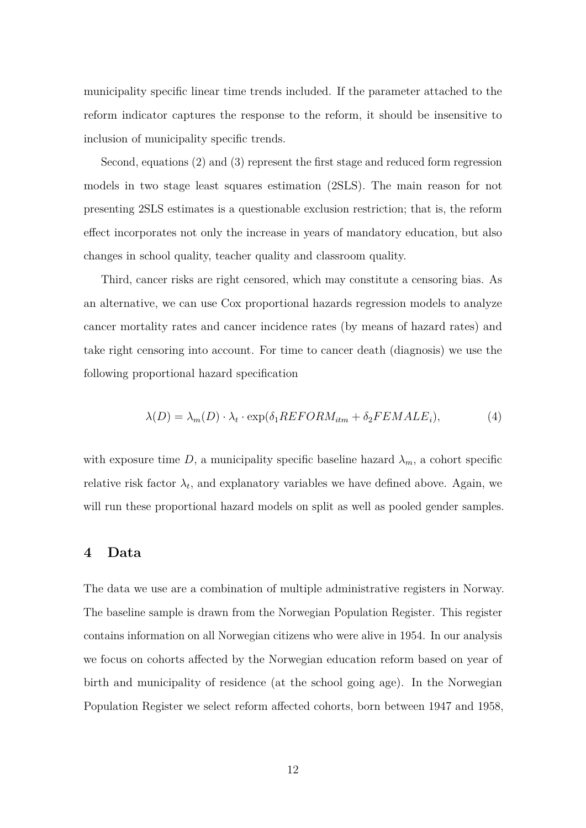municipality specific linear time trends included. If the parameter attached to the reform indicator captures the response to the reform, it should be insensitive to inclusion of municipality specific trends.

Second, equations (2) and (3) represent the first stage and reduced form regression models in two stage least squares estimation (2SLS). The main reason for not presenting 2SLS estimates is a questionable exclusion restriction; that is, the reform effect incorporates not only the increase in years of mandatory education, but also changes in school quality, teacher quality and classroom quality.

Third, cancer risks are right censored, which may constitute a censoring bias. As an alternative, we can use Cox proportional hazards regression models to analyze cancer mortality rates and cancer incidence rates (by means of hazard rates) and take right censoring into account. For time to cancer death (diagnosis) we use the following proportional hazard specification

$$
\lambda(D) = \lambda_m(D) \cdot \lambda_t \cdot \exp(\delta_1 REFORM_{itm} + \delta_2 FEMALE_i), \tag{4}
$$

with exposure time *D*, a municipality specific baseline hazard  $\lambda_m$ , a cohort specific relative risk factor  $\lambda_t$ , and explanatory variables we have defined above. Again, we will run these proportional hazard models on split as well as pooled gender samples.

### **4 Data**

The data we use are a combination of multiple administrative registers in Norway. The baseline sample is drawn from the Norwegian Population Register. This register contains information on all Norwegian citizens who were alive in 1954. In our analysis we focus on cohorts affected by the Norwegian education reform based on year of birth and municipality of residence (at the school going age). In the Norwegian Population Register we select reform affected cohorts, born between 1947 and 1958,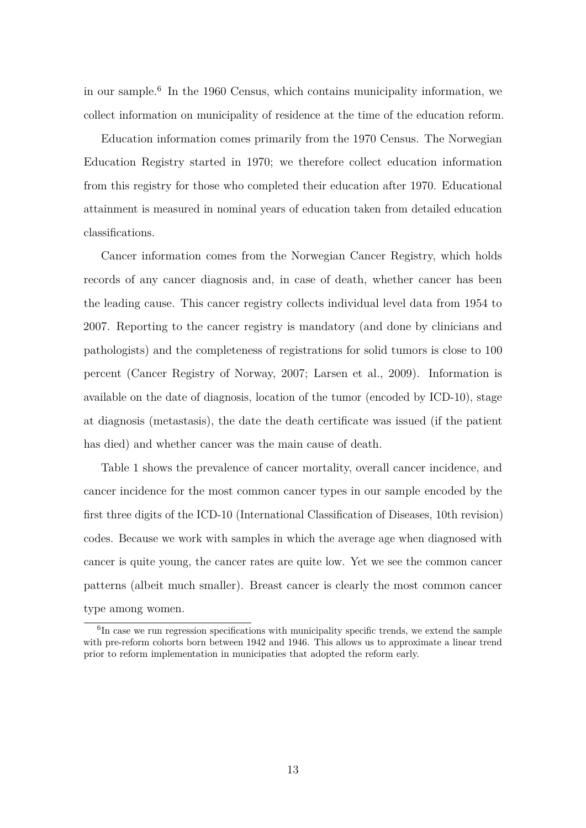in our sample.<sup>6</sup> In the 1960 Census, which contains municipality information, we collect information on municipality of residence at the time of the education reform.

Education information comes primarily from the 1970 Census. The Norwegian Education Registry started in 1970; we therefore collect education information from this registry for those who completed their education after 1970. Educational attainment is measured in nominal years of education taken from detailed education classifications.

Cancer information comes from the Norwegian Cancer Registry, which holds records of any cancer diagnosis and, in case of death, whether cancer has been the leading cause. This cancer registry collects individual level data from 1954 to 2007. Reporting to the cancer registry is mandatory (and done by clinicians and pathologists) and the completeness of registrations for solid tumors is close to 100 percent (Cancer Registry of Norway, 2007; Larsen et al., 2009). Information is available on the date of diagnosis, location of the tumor (encoded by ICD-10), stage at diagnosis (metastasis), the date the death certificate was issued (if the patient has died) and whether cancer was the main cause of death.

Table 1 shows the prevalence of cancer mortality, overall cancer incidence, and cancer incidence for the most common cancer types in our sample encoded by the first three digits of the ICD-10 (International Classification of Diseases, 10th revision) codes. Because we work with samples in which the average age when diagnosed with cancer is quite young, the cancer rates are quite low. Yet we see the common cancer patterns (albeit much smaller). Breast cancer is clearly the most common cancer type among women.

<sup>&</sup>lt;sup>6</sup>In case we run regression specifications with municipality specific trends, we extend the sample with pre-reform cohorts born between 1942 and 1946. This allows us to approximate a linear trend prior to reform implementation in municipaties that adopted the reform early.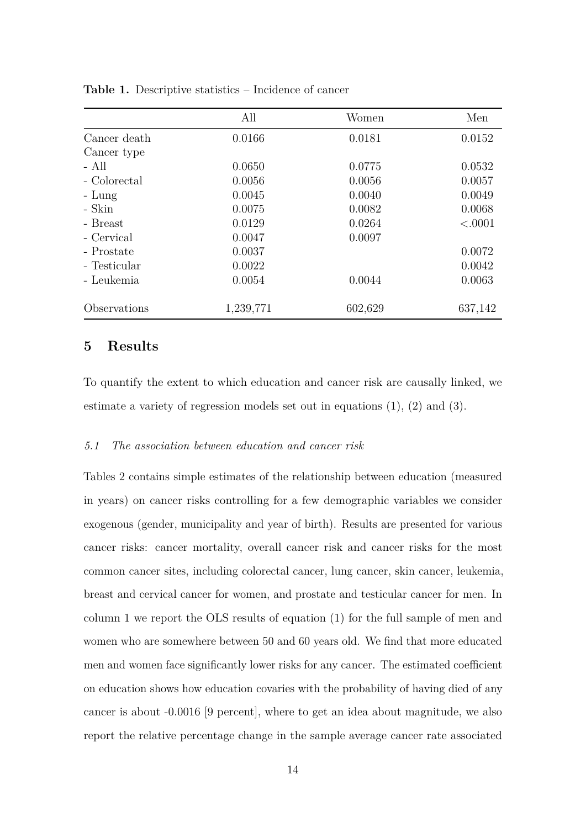|              | All       | Women   | Men     |
|--------------|-----------|---------|---------|
| Cancer death | 0.0166    | 0.0181  | 0.0152  |
| Cancer type  |           |         |         |
| - All        | 0.0650    | 0.0775  | 0.0532  |
| - Colorectal | 0.0056    | 0.0056  | 0.0057  |
| $-Lung$      | 0.0045    | 0.0040  | 0.0049  |
| - Skin       | 0.0075    | 0.0082  | 0.0068  |
| - Breast     | 0.0129    | 0.0264  | < .0001 |
| - Cervical   | 0.0047    | 0.0097  |         |
| - Prostate   | 0.0037    |         | 0.0072  |
| - Testicular | 0.0022    |         | 0.0042  |
| - Leukemia   | 0.0054    | 0.0044  | 0.0063  |
| Observations | 1,239,771 | 602,629 | 637,142 |

**Table 1.** Descriptive statistics – Incidence of cancer

#### **5 Results**

To quantify the extent to which education and cancer risk are causally linked, we estimate a variety of regression models set out in equations (1), (2) and (3).

#### *5.1 The association between education and cancer risk*

Tables 2 contains simple estimates of the relationship between education (measured in years) on cancer risks controlling for a few demographic variables we consider exogenous (gender, municipality and year of birth). Results are presented for various cancer risks: cancer mortality, overall cancer risk and cancer risks for the most common cancer sites, including colorectal cancer, lung cancer, skin cancer, leukemia, breast and cervical cancer for women, and prostate and testicular cancer for men. In column 1 we report the OLS results of equation (1) for the full sample of men and women who are somewhere between 50 and 60 years old. We find that more educated men and women face significantly lower risks for any cancer. The estimated coefficient on education shows how education covaries with the probability of having died of any cancer is about -0.0016 [9 percent], where to get an idea about magnitude, we also report the relative percentage change in the sample average cancer rate associated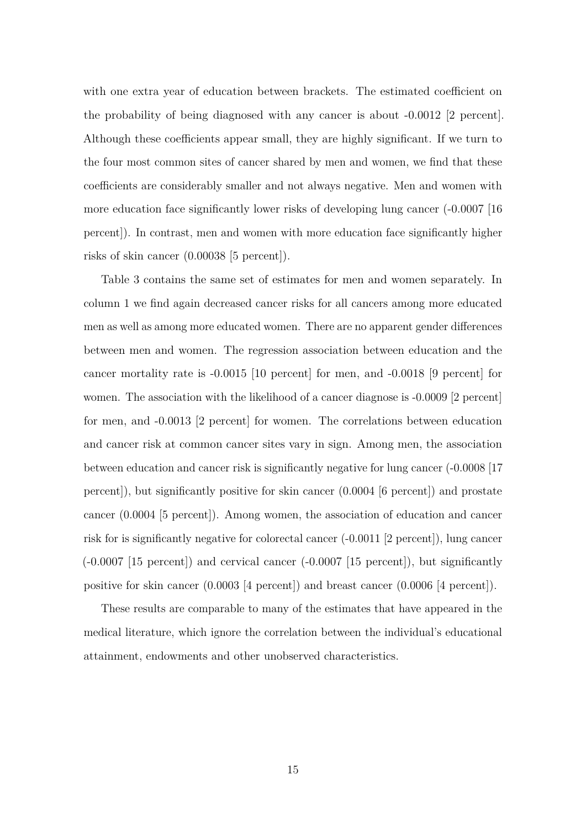with one extra year of education between brackets. The estimated coefficient on the probability of being diagnosed with any cancer is about -0.0012 [2 percent]. Although these coefficients appear small, they are highly significant. If we turn to the four most common sites of cancer shared by men and women, we find that these coefficients are considerably smaller and not always negative. Men and women with more education face significantly lower risks of developing lung cancer (-0.0007 [16 percent]). In contrast, men and women with more education face significantly higher risks of skin cancer (0.00038 [5 percent]).

Table 3 contains the same set of estimates for men and women separately. In column 1 we find again decreased cancer risks for all cancers among more educated men as well as among more educated women. There are no apparent gender differences between men and women. The regression association between education and the cancer mortality rate is -0.0015 [10 percent] for men, and -0.0018 [9 percent] for women. The association with the likelihood of a cancer diagnose is  $-0.0009$  [2 percent] for men, and -0.0013 [2 percent] for women. The correlations between education and cancer risk at common cancer sites vary in sign. Among men, the association between education and cancer risk is significantly negative for lung cancer (-0.0008 [17 percent]), but significantly positive for skin cancer (0.0004 [6 percent]) and prostate cancer (0.0004 [5 percent]). Among women, the association of education and cancer risk for is significantly negative for colorectal cancer (-0.0011 [2 percent]), lung cancer  $(-0.0007 \mid 15 \text{ percent})$  and cervical cancer  $(-0.0007 \mid 15 \text{ percent})$ , but significantly positive for skin cancer (0.0003 [4 percent]) and breast cancer (0.0006 [4 percent]).

These results are comparable to many of the estimates that have appeared in the medical literature, which ignore the correlation between the individual's educational attainment, endowments and other unobserved characteristics.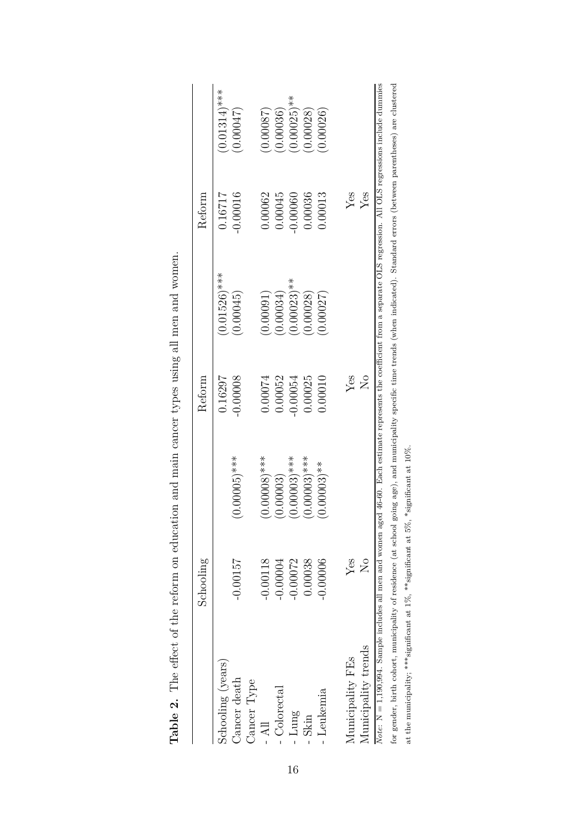|                                                                                                                                                                                        | Schooling                        |                             | Reform      |                         | Reform     |                 |
|----------------------------------------------------------------------------------------------------------------------------------------------------------------------------------------|----------------------------------|-----------------------------|-------------|-------------------------|------------|-----------------|
| Schooling (years)                                                                                                                                                                      |                                  |                             | 0.16297     | $(0.01526)$ ***         | 0.16717    | $(0.01314)$ *** |
| Cancer death<br>Cancer Type                                                                                                                                                            | $-0.00157$                       | $(0.00005)$ ***             | $-0.00008$  | (0.00045)               | $-0.00016$ | (0.00047)       |
| $-$ All                                                                                                                                                                                | $-0.00118$                       | $(0.00008)$ ***             | 0.00074     | (0.00091)               | 0.00062    | (78000.0)       |
| $\rm{Colorectal}$                                                                                                                                                                      | $-0.00004$                       | (0.00003)                   | 0.00052     | 0.00034)                | 0.00045    | (0.00036)       |
| - Lung                                                                                                                                                                                 | $-0.00072$                       | $(0.00003)$ ***             | 0.00054     | $0.00023$ <sup>**</sup> | 0.00060    | $(0.00025)$ **  |
| Skin                                                                                                                                                                                   | 0.00038                          | $(0.00003)$ ***             | 0.00025     | (0.00028)               | 0.00036    | (0.00028)       |
| Leukemia                                                                                                                                                                               | 0.00006                          | $(0.00003)$ **              | 0.00010     | 0.00027                 | 0.00013    | 0.00026         |
| Municipality FEs                                                                                                                                                                       | Yes                              |                             | Yes         |                         | $Y$ es     |                 |
| Municipality trends                                                                                                                                                                    | $\overline{\text{N}}_{\text{O}}$ |                             | $\rm N_{O}$ |                         | Yes        |                 |
| Note: $N = 1,190,994$ . Sample includes all men and women aged 46-60. Each estimate erpresents the coefficient from a separate OLS regression. All OLS regressions include dummies     |                                  |                             |             |                         |            |                 |
| for gender, birth cohort, municipality of residence (at school going age), and municipality specific time trends (when indicated). Standard errors (between parentheses) are clustered |                                  |                             |             |                         |            |                 |
| at the municipality; *** significant at $1\%$ , ** significant at $5\%$ ,                                                                                                              |                                  | $*$ significant at $10\%$ . |             |                         |            |                 |

Table 2. The effect of the reform on education and main cancer types using all men and women. **Table 2.** The effect of the reform on education and main cancer types using all men and women.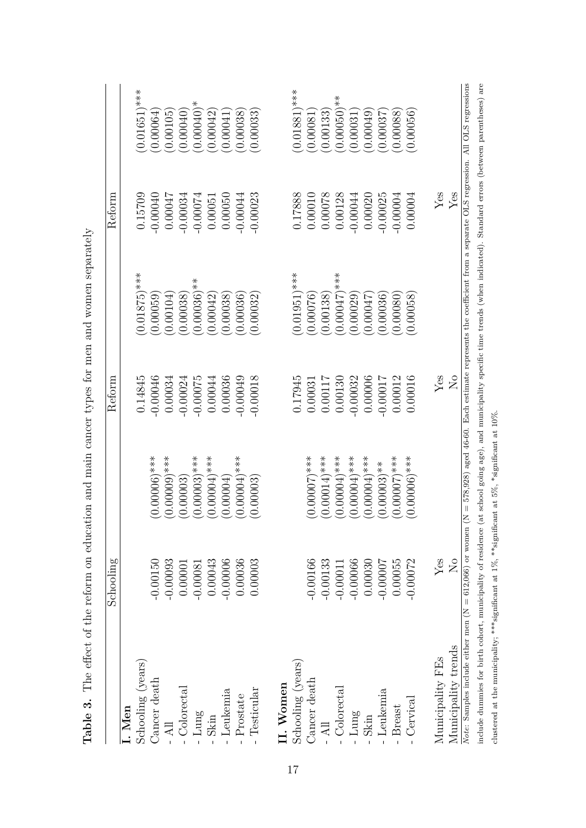|                                                                                                             | Schooling                   |                 | Reform         |                                                                                                                          | Reform      |                          |
|-------------------------------------------------------------------------------------------------------------|-----------------------------|-----------------|----------------|--------------------------------------------------------------------------------------------------------------------------|-------------|--------------------------|
| I. Men                                                                                                      |                             |                 |                |                                                                                                                          |             |                          |
| Schooling (years)                                                                                           |                             |                 | 0.14845        | $0.01875$ <sup>***</sup>                                                                                                 | 0.15709     | $0.01651$ <sup>***</sup> |
| Cancer death                                                                                                | $-0.00150$                  | $(0.00006)$ *** | $-0.00046$     | 0.00059                                                                                                                  | $-0.00040$  | 0.00064                  |
| $-$ All                                                                                                     | $-0.00093$                  | $(0.0000)$ ***  | 0.00034        | 0.00104                                                                                                                  | 0.00047     | 0.00105                  |
| ${\bf Colorectal}$                                                                                          | 0.00001                     | (0.00003)       | $-0.00024$     | 0.00038                                                                                                                  | $-0.00034$  | 0.00040                  |
| Lung                                                                                                        | $-0.00081$                  | $(0.00003)$ *** | $-0.00075$     | $0.00036$ <sup>**</sup>                                                                                                  | $-0.00074$  | $0.00040$ <sup>*</sup>   |
| Skin                                                                                                        | 0.00043                     | $(0.00004)$ *** | 0.00044        | 0.00042                                                                                                                  | 0.00051     | 0.00042                  |
| Leukemia                                                                                                    | $-0.00006$                  | (0.00004)       | 0.00036        | 0.00038                                                                                                                  | 0.00050     | 0.00041                  |
| Prostate                                                                                                    | 0.00036                     | $(0.00004)$ *** | 0.00049        | 0.00036                                                                                                                  | 0.00044     | 0.00038                  |
| Testicular                                                                                                  | 0.00003                     | (0.00003)       | 0.00018        | 0.00032                                                                                                                  | 0.00023     | 0.00033                  |
| II. Women                                                                                                   |                             |                 |                |                                                                                                                          |             |                          |
| Schooling (years)                                                                                           |                             |                 | 0.17945        | $0.01951$ <sup>***</sup>                                                                                                 | 1.17888     | $(0.01881)$ ***          |
|                                                                                                             | $-0.00166$                  | $(0.00007)$ *** | 0.00031        | 0.00076                                                                                                                  | 0.00010     | 0.00081                  |
| Cancer death - $\mathop{\rm All}\nolimits$                                                                  | $-0.00133$                  | $(0.00014)$ *** | 0.00117        | 0.00138                                                                                                                  | 0.00078     | 0.00133                  |
| - Colorectal                                                                                                | $-0.00011$                  | $(0.00004)$ *** | 0.00130        | $0.00047$ <sup>***</sup>                                                                                                 | 0.00128     | $0.00050)**$             |
| Lung                                                                                                        | $-0.00066$                  | $(0.00004)$ *** | $-0.00032$     | 0.00029                                                                                                                  | $-0.00044$  | 0.00031                  |
| Skin                                                                                                        | 0.00030                     | $(0.00004)$ *** | 0.00006        | 15000000                                                                                                                 | 0.00020     | 0.00049                  |
| Leukemia                                                                                                    | $-0.00007$                  | $(0.00003)**$   | 0.00017        | 0.00036                                                                                                                  | 0.00025     | 0.00037                  |
| $-$ Breast                                                                                                  | 0.00055                     | $(0.00007)$ *** | 0.00012        | 0.00080                                                                                                                  | $-0.00004$  | 0.00088                  |
| - Cervical                                                                                                  | $-0.00072$                  | $(0.00006)$ *** | 0.00016        | 0.00058                                                                                                                  | 0.00004     | 0.00056                  |
| Municipality FEs                                                                                            | $\ensuremath{\mathrm{Yes}}$ |                 | Yes            |                                                                                                                          | ${\rm Yes}$ |                          |
| Municipality trends                                                                                         | $\rm \stackrel{\circ}{X}$   |                 | $\overline{N}$ |                                                                                                                          | $Y$ es      |                          |
| Note: Samples include either men ( $N = 612,066$ ) or women                                                 |                             |                 |                | $N = 578,928$ ) aged 46-60. Each estimate represents the coefficient from a separate OLS regression. All OLS regressions |             |                          |
| include dummies for birth cohort, municipality of residence                                                 |                             |                 |                | at school going age), and municipality specific time trends (when indicated). Standard errors (between parentheses) are  |             |                          |
| clustered at the municipality; ****significant at $1\%$ , **significant at $5\%$ , *significant at $10\%$ . |                             |                 |                |                                                                                                                          |             |                          |

**Table 3.** The effect of the reform on education and main cancer types for men and women separately **Table 3.** The effect of the reform on education and main cancer types for men and women separately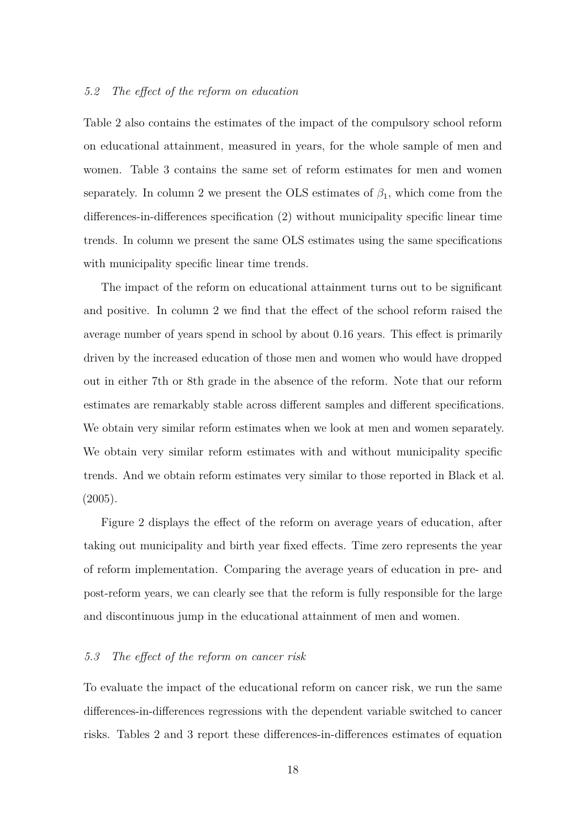#### *5.2 The effect of the reform on education*

Table 2 also contains the estimates of the impact of the compulsory school reform on educational attainment, measured in years, for the whole sample of men and women. Table 3 contains the same set of reform estimates for men and women separately. In column 2 we present the OLS estimates of  $\beta_1$ , which come from the differences-in-differences specification (2) without municipality specific linear time trends. In column we present the same OLS estimates using the same specifications with municipality specific linear time trends.

The impact of the reform on educational attainment turns out to be significant and positive. In column 2 we find that the effect of the school reform raised the average number of years spend in school by about 0.16 years. This effect is primarily driven by the increased education of those men and women who would have dropped out in either 7th or 8th grade in the absence of the reform. Note that our reform estimates are remarkably stable across different samples and different specifications. We obtain very similar reform estimates when we look at men and women separately. We obtain very similar reform estimates with and without municipality specific trends. And we obtain reform estimates very similar to those reported in Black et al. (2005).

Figure 2 displays the effect of the reform on average years of education, after taking out municipality and birth year fixed effects. Time zero represents the year of reform implementation. Comparing the average years of education in pre- and post-reform years, we can clearly see that the reform is fully responsible for the large and discontinuous jump in the educational attainment of men and women.

#### *5.3 The effect of the reform on cancer risk*

To evaluate the impact of the educational reform on cancer risk, we run the same differences-in-differences regressions with the dependent variable switched to cancer risks. Tables 2 and 3 report these differences-in-differences estimates of equation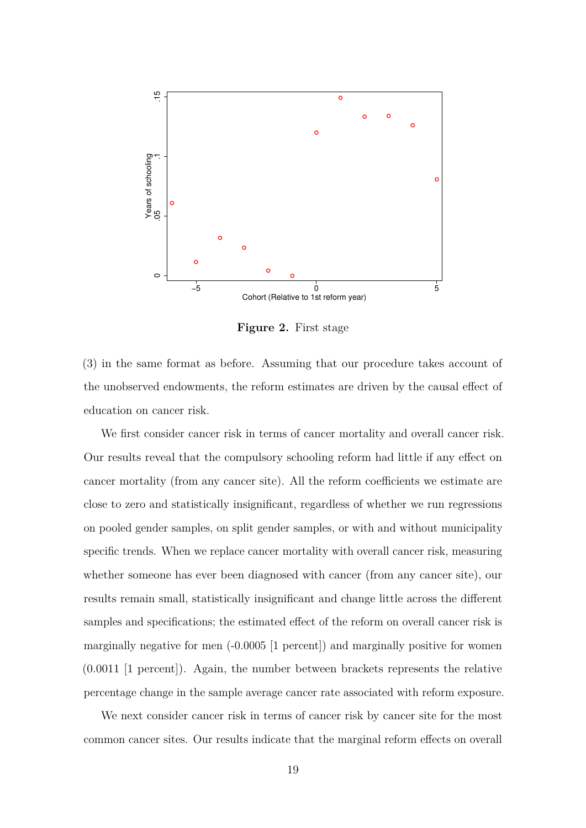

**Figure 2.** First stage

(3) in the same format as before. Assuming that our procedure takes account of the unobserved endowments, the reform estimates are driven by the causal effect of education on cancer risk.

We first consider cancer risk in terms of cancer mortality and overall cancer risk. Our results reveal that the compulsory schooling reform had little if any effect on cancer mortality (from any cancer site). All the reform coefficients we estimate are close to zero and statistically insignificant, regardless of whether we run regressions on pooled gender samples, on split gender samples, or with and without municipality specific trends. When we replace cancer mortality with overall cancer risk, measuring whether someone has ever been diagnosed with cancer (from any cancer site), our results remain small, statistically insignificant and change little across the different samples and specifications; the estimated effect of the reform on overall cancer risk is marginally negative for men (-0.0005 [1 percent]) and marginally positive for women (0.0011 [1 percent]). Again, the number between brackets represents the relative percentage change in the sample average cancer rate associated with reform exposure.

We next consider cancer risk in terms of cancer risk by cancer site for the most common cancer sites. Our results indicate that the marginal reform effects on overall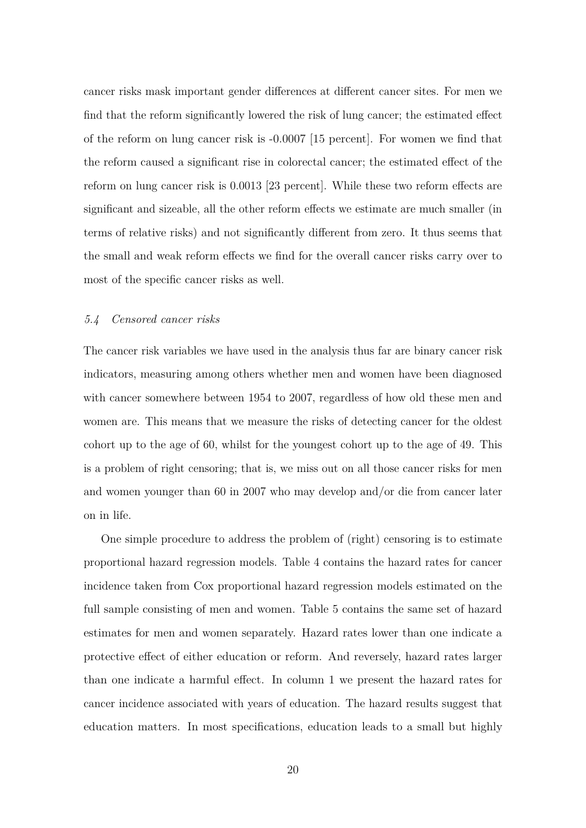cancer risks mask important gender differences at different cancer sites. For men we find that the reform significantly lowered the risk of lung cancer; the estimated effect of the reform on lung cancer risk is -0.0007 [15 percent]. For women we find that the reform caused a significant rise in colorectal cancer; the estimated effect of the reform on lung cancer risk is 0.0013 [23 percent]. While these two reform effects are significant and sizeable, all the other reform effects we estimate are much smaller (in terms of relative risks) and not significantly different from zero. It thus seems that the small and weak reform effects we find for the overall cancer risks carry over to most of the specific cancer risks as well.

#### *5.4 Censored cancer risks*

The cancer risk variables we have used in the analysis thus far are binary cancer risk indicators, measuring among others whether men and women have been diagnosed with cancer somewhere between 1954 to 2007, regardless of how old these men and women are. This means that we measure the risks of detecting cancer for the oldest cohort up to the age of 60, whilst for the youngest cohort up to the age of 49. This is a problem of right censoring; that is, we miss out on all those cancer risks for men and women younger than 60 in 2007 who may develop and/or die from cancer later on in life.

One simple procedure to address the problem of (right) censoring is to estimate proportional hazard regression models. Table 4 contains the hazard rates for cancer incidence taken from Cox proportional hazard regression models estimated on the full sample consisting of men and women. Table 5 contains the same set of hazard estimates for men and women separately. Hazard rates lower than one indicate a protective effect of either education or reform. And reversely, hazard rates larger than one indicate a harmful effect. In column 1 we present the hazard rates for cancer incidence associated with years of education. The hazard results suggest that education matters. In most specifications, education leads to a small but highly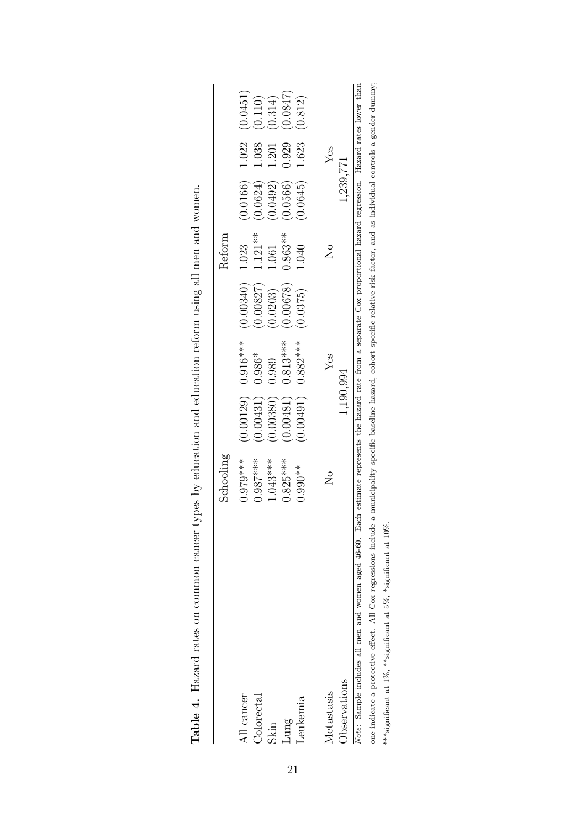|                                                                 | Schooling                                                                                                                 |           |                      |            | Reform                 |                             |       |          |
|-----------------------------------------------------------------|---------------------------------------------------------------------------------------------------------------------------|-----------|----------------------|------------|------------------------|-----------------------------|-------|----------|
| All cancer                                                      | $0.979***$                                                                                                                |           | $0.00129$ $0.916***$ | (0.00340)  | 1.023                  | $(0.0166)$ 1.022 $(0.0451)$ |       |          |
| Colorectal                                                      | $0.987***$                                                                                                                | 0.00431)  | $0.986*$             | (0.00827)  | $1.121**$              | (0.0624)                    | 1.038 | (0.110)  |
| Skin                                                            | $1.043***$                                                                                                                | 0.00380)  | 0.989                | 0.0203)    | 1.061                  | (0.0492)                    | 1.201 | (0.314)  |
| Lung                                                            | $0.825***$                                                                                                                | 0.00481)  | $0.813***$           | (81900.00) | $0.863**$              | (0.0566)                    | 0.929 | (2580.0) |
| Leukemia                                                        | $0.990**$                                                                                                                 |           | $0.00491$ $0.882***$ | (0.0375)   | 1.040                  | (0.0645)                    | 1.623 | (0.812)  |
| Metastasis                                                      | $\overset{\circ}{\Xi}$                                                                                                    |           | $Y$ es               |            | $\overset{\circ}{\Xi}$ |                             | Yes   |          |
| Observations                                                    |                                                                                                                           | 1,190,994 |                      |            |                        | 1,239,771                   |       |          |
| Note: Sample includes all men and women aged 46-60. Eac         | h estimate represents the hazard rate from a separate Cox proportional hazard regression. Hazard rates lower than         |           |                      |            |                        |                             |       |          |
| one indicate a protective effect. All Cox regressions include a | , municipality specific baseline hazard, cohort specific relative risk factor, and as individual controls a gender dummy; |           |                      |            |                        |                             |       |          |

| )                                                                                                                        |
|--------------------------------------------------------------------------------------------------------------------------|
|                                                                                                                          |
|                                                                                                                          |
|                                                                                                                          |
|                                                                                                                          |
|                                                                                                                          |
|                                                                                                                          |
|                                                                                                                          |
|                                                                                                                          |
| on acromon annon annon turach bu achanna and achan-achan rathara uainar all man and unom on<br>viii vultavat valtioon va |
|                                                                                                                          |
|                                                                                                                          |
| ĺ<br>I                                                                                                                   |
| )<br>}<br>י<br>                                                                                                          |
|                                                                                                                          |

\*\*\*significant at 1%, \*\*significant at 5%, \*significant at 10%.

\*\*\*<br/>significant at 1%, \*\*\*<br/>significant at 5%, \*significant at 10%.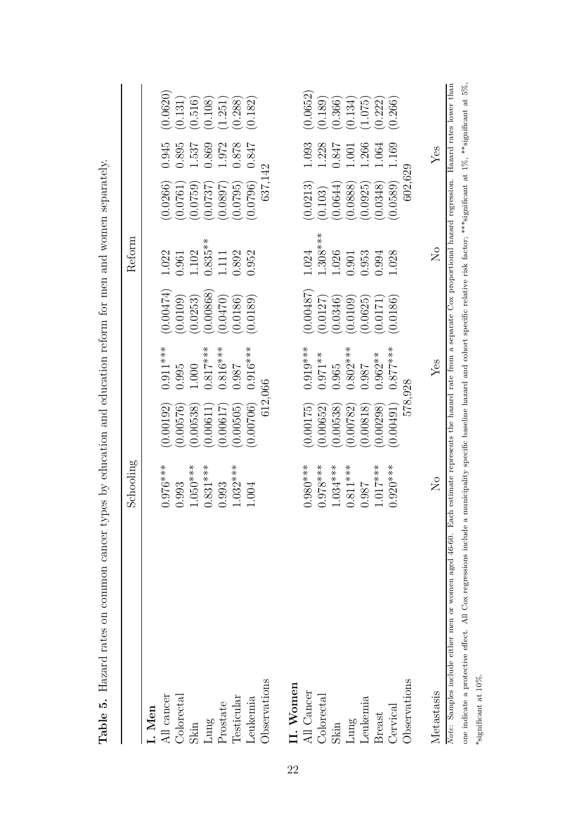|                                                                                                                                                                                                                                                                                                                                                                           | $\operatorname{Schooling}$ |           |            |           | Reform                  |          |       |          |
|---------------------------------------------------------------------------------------------------------------------------------------------------------------------------------------------------------------------------------------------------------------------------------------------------------------------------------------------------------------------------|----------------------------|-----------|------------|-----------|-------------------------|----------|-------|----------|
| I. Men                                                                                                                                                                                                                                                                                                                                                                    |                            |           |            |           |                         |          |       |          |
| All cancer                                                                                                                                                                                                                                                                                                                                                                | $0.976***$                 | (0.00192) | $0.911***$ | (0.00474) | 1.022                   | (0.0266) | 0.945 | (0.0620) |
| Colorectal                                                                                                                                                                                                                                                                                                                                                                | 0.993                      | 0.00576   | 0.995      | (0.0109)  | 0.961                   | 0.0761   | 0.895 | (0.131)  |
| Skin                                                                                                                                                                                                                                                                                                                                                                      | $1.050***$                 | 0.00538   | 1.000      | (0.0253)  | 1.102                   | 0.0759   | 1.537 | (0.516)  |
| ${\rm Lung}$                                                                                                                                                                                                                                                                                                                                                              | $0.831***$                 | (0.00611  | $0.817***$ | (0.00868) | $0.835**$               | 0.0737   | 0.869 | (0.108)  |
| Prostate                                                                                                                                                                                                                                                                                                                                                                  | 0.993                      | (0.00617) | $0.816***$ | (0.0470)  | 1.111                   | (7680.0) | 1.972 | (1.251)  |
| <b>Cesticular</b>                                                                                                                                                                                                                                                                                                                                                         | $1.032***$                 | (0.00505) | 0.987      | (0.0186)  | 0.892                   | 0.0795   | 0.878 | (0.288)  |
| Leukemia                                                                                                                                                                                                                                                                                                                                                                  | 1.004                      | (0.00706) | $0.916***$ | (0.0189)  | 0.952                   | (0.0796) | 0.847 | (0.182)  |
| Observations                                                                                                                                                                                                                                                                                                                                                              |                            | 612,066   |            |           |                         | 637,142  |       |          |
| II. Women                                                                                                                                                                                                                                                                                                                                                                 |                            |           |            |           |                         |          |       |          |
| All Cancer                                                                                                                                                                                                                                                                                                                                                                | $0.980***$                 | (0.00175) | $0.919***$ | (0.00487) | 1.024                   | (0.0213) | 1.093 | (0.0652) |
| Colorectal                                                                                                                                                                                                                                                                                                                                                                | $0.978***$                 | (0.00652) | $0.971**$  | (0.0127)  | $1.308***$              | (0.103)  | 1.228 | (0.189)  |
| Skin                                                                                                                                                                                                                                                                                                                                                                      | $1.034***$                 | (0.00538) | 0.965      | (0.0346)  | 1.026                   | 0.0644   | 0.847 | (0.366)  |
| Lung                                                                                                                                                                                                                                                                                                                                                                      | $0.811***$                 | 0.00782   | $0.802***$ | 0.0109    | 0.901                   | 0.0888   | 1.001 | (0.134)  |
| Leukemia                                                                                                                                                                                                                                                                                                                                                                  | 0.987                      | (0.00818) | 186.0      | (0.0625)  | 0.953                   | 0.0925   | 1.266 | (1.075)  |
| <b>Breast</b>                                                                                                                                                                                                                                                                                                                                                             | $1.017***$                 | (0.00298) | $0.962**$  | 0.0171    | 0.994                   | 0.0348   | 1.064 | (0.222)  |
| Cervical                                                                                                                                                                                                                                                                                                                                                                  | $0.920***$                 | (0.00491) | $0.877***$ | (0.0186)  | 1.028                   | (0.0589) | 1.169 | (0.266)  |
| Observations                                                                                                                                                                                                                                                                                                                                                              |                            | 578,928   |            |           |                         | 602,629  |       |          |
| Metastasis                                                                                                                                                                                                                                                                                                                                                                | $\mathcal{L}_{\mathsf{O}}$ |           | Yes        |           | $\overline{\mathsf{z}}$ |          | Yes   |          |
| one indicate a protective effect. All Cox regressions include a municipality specific baseline hazard and cohort specific relative risk factor; ***significant at 1%, ***significant at 5%,<br>Note: Samples include either men or women aged 46-60. Each estimate represents the hazard rate from a separate Cox proportional hazard regression. Hazard rates lower than |                            |           |            |           |                         |          |       |          |
| *significant at 10%.                                                                                                                                                                                                                                                                                                                                                      |                            |           |            |           |                         |          |       |          |
|                                                                                                                                                                                                                                                                                                                                                                           |                            |           |            |           |                         |          |       |          |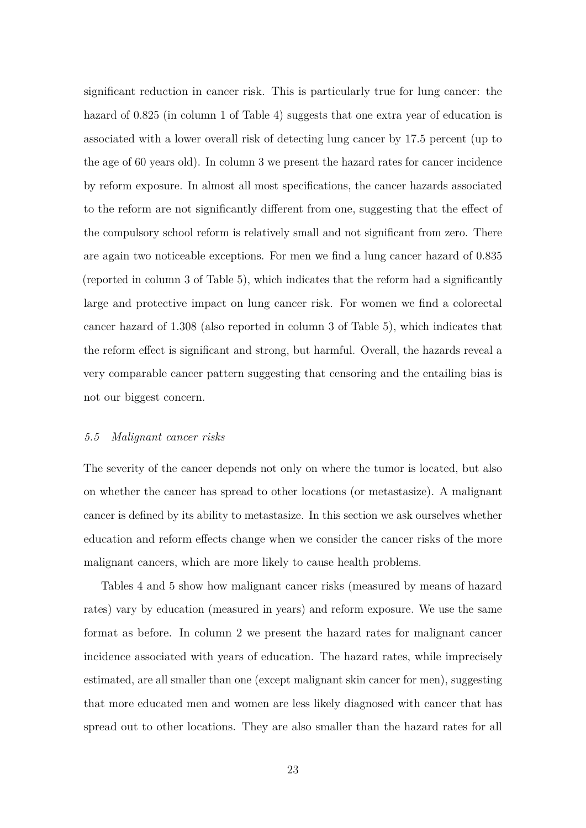significant reduction in cancer risk. This is particularly true for lung cancer: the hazard of 0.825 (in column 1 of Table 4) suggests that one extra year of education is associated with a lower overall risk of detecting lung cancer by 17.5 percent (up to the age of 60 years old). In column 3 we present the hazard rates for cancer incidence by reform exposure. In almost all most specifications, the cancer hazards associated to the reform are not significantly different from one, suggesting that the effect of the compulsory school reform is relatively small and not significant from zero. There are again two noticeable exceptions. For men we find a lung cancer hazard of 0.835 (reported in column 3 of Table 5), which indicates that the reform had a significantly large and protective impact on lung cancer risk. For women we find a colorectal cancer hazard of 1.308 (also reported in column 3 of Table 5), which indicates that the reform effect is significant and strong, but harmful. Overall, the hazards reveal a very comparable cancer pattern suggesting that censoring and the entailing bias is not our biggest concern.

#### *5.5 Malignant cancer risks*

The severity of the cancer depends not only on where the tumor is located, but also on whether the cancer has spread to other locations (or metastasize). A malignant cancer is defined by its ability to metastasize. In this section we ask ourselves whether education and reform effects change when we consider the cancer risks of the more malignant cancers, which are more likely to cause health problems.

Tables 4 and 5 show how malignant cancer risks (measured by means of hazard rates) vary by education (measured in years) and reform exposure. We use the same format as before. In column 2 we present the hazard rates for malignant cancer incidence associated with years of education. The hazard rates, while imprecisely estimated, are all smaller than one (except malignant skin cancer for men), suggesting that more educated men and women are less likely diagnosed with cancer that has spread out to other locations. They are also smaller than the hazard rates for all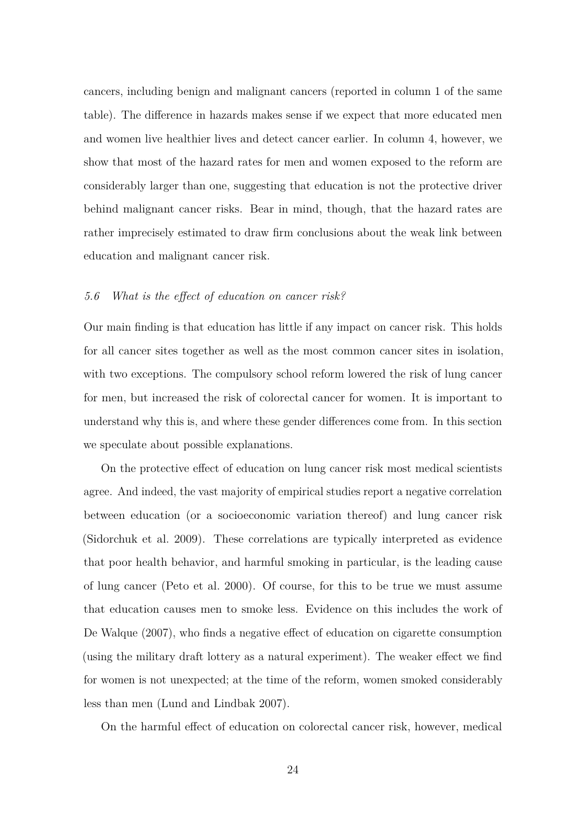cancers, including benign and malignant cancers (reported in column 1 of the same table). The difference in hazards makes sense if we expect that more educated men and women live healthier lives and detect cancer earlier. In column 4, however, we show that most of the hazard rates for men and women exposed to the reform are considerably larger than one, suggesting that education is not the protective driver behind malignant cancer risks. Bear in mind, though, that the hazard rates are rather imprecisely estimated to draw firm conclusions about the weak link between education and malignant cancer risk.

#### *5.6 What is the effect of education on cancer risk?*

Our main finding is that education has little if any impact on cancer risk. This holds for all cancer sites together as well as the most common cancer sites in isolation, with two exceptions. The compulsory school reform lowered the risk of lung cancer for men, but increased the risk of colorectal cancer for women. It is important to understand why this is, and where these gender differences come from. In this section we speculate about possible explanations.

On the protective effect of education on lung cancer risk most medical scientists agree. And indeed, the vast majority of empirical studies report a negative correlation between education (or a socioeconomic variation thereof) and lung cancer risk (Sidorchuk et al. 2009). These correlations are typically interpreted as evidence that poor health behavior, and harmful smoking in particular, is the leading cause of lung cancer (Peto et al. 2000). Of course, for this to be true we must assume that education causes men to smoke less. Evidence on this includes the work of De Walque (2007), who finds a negative effect of education on cigarette consumption (using the military draft lottery as a natural experiment). The weaker effect we find for women is not unexpected; at the time of the reform, women smoked considerably less than men (Lund and Lindbak 2007).

On the harmful effect of education on colorectal cancer risk, however, medical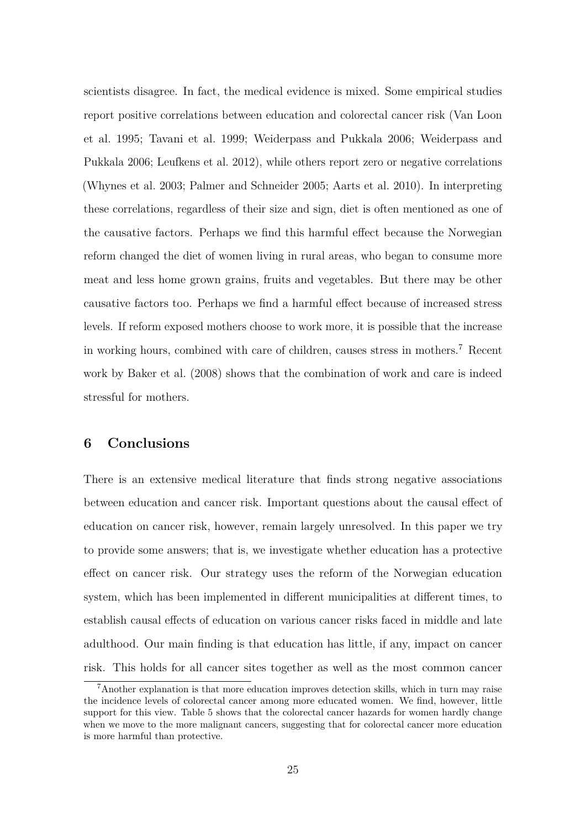scientists disagree. In fact, the medical evidence is mixed. Some empirical studies report positive correlations between education and colorectal cancer risk (Van Loon et al. 1995; Tavani et al. 1999; Weiderpass and Pukkala 2006; Weiderpass and Pukkala 2006; Leufkens et al. 2012), while others report zero or negative correlations (Whynes et al. 2003; Palmer and Schneider 2005; Aarts et al. 2010). In interpreting these correlations, regardless of their size and sign, diet is often mentioned as one of the causative factors. Perhaps we find this harmful effect because the Norwegian reform changed the diet of women living in rural areas, who began to consume more meat and less home grown grains, fruits and vegetables. But there may be other causative factors too. Perhaps we find a harmful effect because of increased stress levels. If reform exposed mothers choose to work more, it is possible that the increase in working hours, combined with care of children, causes stress in mothers.<sup>7</sup> Recent work by Baker et al. (2008) shows that the combination of work and care is indeed stressful for mothers.

### **6 Conclusions**

There is an extensive medical literature that finds strong negative associations between education and cancer risk. Important questions about the causal effect of education on cancer risk, however, remain largely unresolved. In this paper we try to provide some answers; that is, we investigate whether education has a protective effect on cancer risk. Our strategy uses the reform of the Norwegian education system, which has been implemented in different municipalities at different times, to establish causal effects of education on various cancer risks faced in middle and late adulthood. Our main finding is that education has little, if any, impact on cancer risk. This holds for all cancer sites together as well as the most common cancer

<sup>7</sup>Another explanation is that more education improves detection skills, which in turn may raise the incidence levels of colorectal cancer among more educated women. We find, however, little support for this view. Table 5 shows that the colorectal cancer hazards for women hardly change when we move to the more malignant cancers, suggesting that for colorectal cancer more education is more harmful than protective.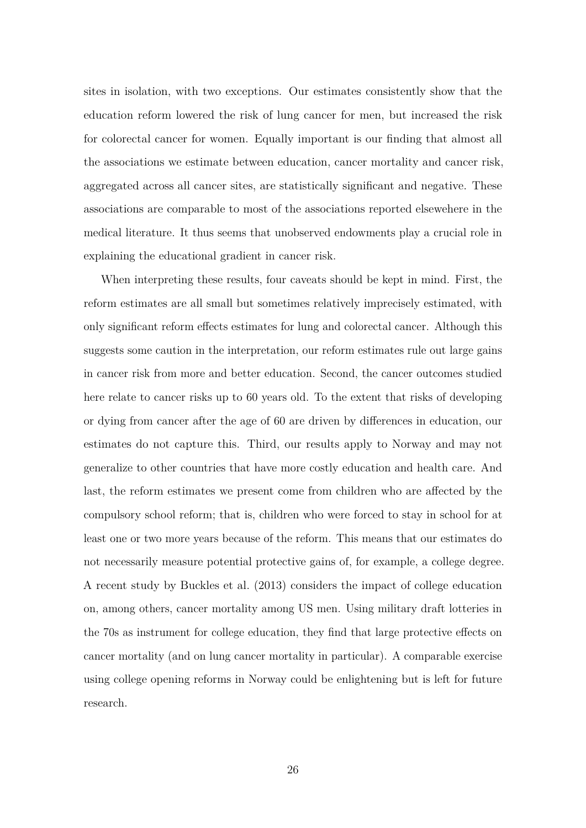sites in isolation, with two exceptions. Our estimates consistently show that the education reform lowered the risk of lung cancer for men, but increased the risk for colorectal cancer for women. Equally important is our finding that almost all the associations we estimate between education, cancer mortality and cancer risk, aggregated across all cancer sites, are statistically significant and negative. These associations are comparable to most of the associations reported elsewehere in the medical literature. It thus seems that unobserved endowments play a crucial role in explaining the educational gradient in cancer risk.

When interpreting these results, four caveats should be kept in mind. First, the reform estimates are all small but sometimes relatively imprecisely estimated, with only significant reform effects estimates for lung and colorectal cancer. Although this suggests some caution in the interpretation, our reform estimates rule out large gains in cancer risk from more and better education. Second, the cancer outcomes studied here relate to cancer risks up to 60 years old. To the extent that risks of developing or dying from cancer after the age of 60 are driven by differences in education, our estimates do not capture this. Third, our results apply to Norway and may not generalize to other countries that have more costly education and health care. And last, the reform estimates we present come from children who are affected by the compulsory school reform; that is, children who were forced to stay in school for at least one or two more years because of the reform. This means that our estimates do not necessarily measure potential protective gains of, for example, a college degree. A recent study by Buckles et al. (2013) considers the impact of college education on, among others, cancer mortality among US men. Using military draft lotteries in the 70s as instrument for college education, they find that large protective effects on cancer mortality (and on lung cancer mortality in particular). A comparable exercise using college opening reforms in Norway could be enlightening but is left for future research.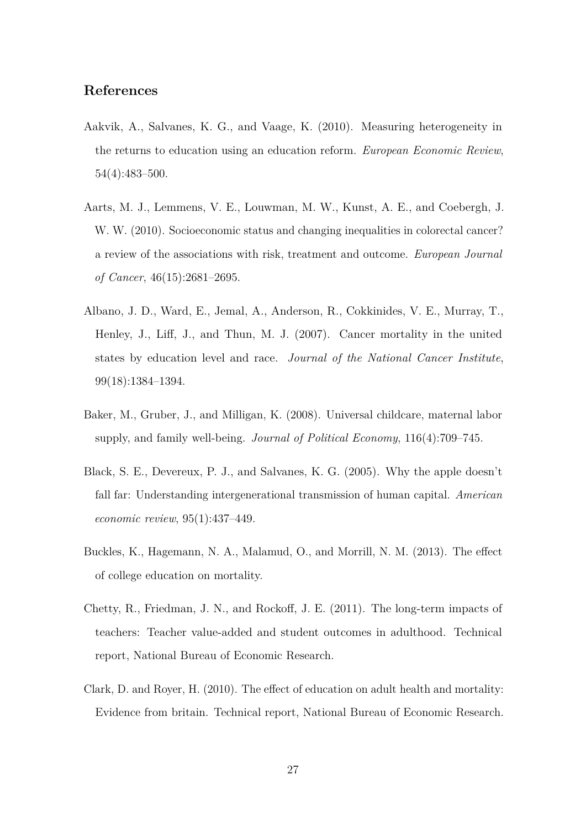### **References**

- Aakvik, A., Salvanes, K. G., and Vaage, K. (2010). Measuring heterogeneity in the returns to education using an education reform. *European Economic Review*, 54(4):483–500.
- Aarts, M. J., Lemmens, V. E., Louwman, M. W., Kunst, A. E., and Coebergh, J. W. W. (2010). Socioeconomic status and changing inequalities in colorectal cancer? a review of the associations with risk, treatment and outcome. *European Journal of Cancer*, 46(15):2681–2695.
- Albano, J. D., Ward, E., Jemal, A., Anderson, R., Cokkinides, V. E., Murray, T., Henley, J., Liff, J., and Thun, M. J. (2007). Cancer mortality in the united states by education level and race. *Journal of the National Cancer Institute*, 99(18):1384–1394.
- Baker, M., Gruber, J., and Milligan, K. (2008). Universal childcare, maternal labor supply, and family well-being. *Journal of Political Economy*, 116(4):709–745.
- Black, S. E., Devereux, P. J., and Salvanes, K. G. (2005). Why the apple doesn't fall far: Understanding intergenerational transmission of human capital. *American economic review*, 95(1):437–449.
- Buckles, K., Hagemann, N. A., Malamud, O., and Morrill, N. M. (2013). The effect of college education on mortality.
- Chetty, R., Friedman, J. N., and Rockoff, J. E. (2011). The long-term impacts of teachers: Teacher value-added and student outcomes in adulthood. Technical report, National Bureau of Economic Research.
- Clark, D. and Royer, H. (2010). The effect of education on adult health and mortality: Evidence from britain. Technical report, National Bureau of Economic Research.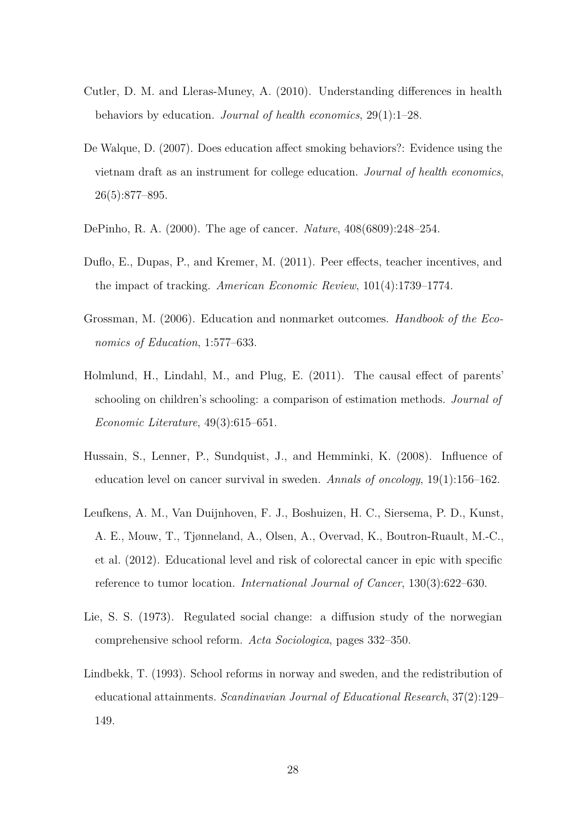- Cutler, D. M. and Lleras-Muney, A. (2010). Understanding differences in health behaviors by education. *Journal of health economics*, 29(1):1–28.
- De Walque, D. (2007). Does education affect smoking behaviors?: Evidence using the vietnam draft as an instrument for college education. *Journal of health economics*, 26(5):877–895.
- DePinho, R. A. (2000). The age of cancer. *Nature*, 408(6809):248–254.
- Duflo, E., Dupas, P., and Kremer, M. (2011). Peer effects, teacher incentives, and the impact of tracking. *American Economic Review*, 101(4):1739–1774.
- Grossman, M. (2006). Education and nonmarket outcomes. *Handbook of the Economics of Education*, 1:577–633.
- Holmlund, H., Lindahl, M., and Plug, E. (2011). The causal effect of parents' schooling on children's schooling: a comparison of estimation methods. *Journal of Economic Literature*, 49(3):615–651.
- Hussain, S., Lenner, P., Sundquist, J., and Hemminki, K. (2008). Influence of education level on cancer survival in sweden. *Annals of oncology*, 19(1):156–162.
- Leufkens, A. M., Van Duijnhoven, F. J., Boshuizen, H. C., Siersema, P. D., Kunst, A. E., Mouw, T., Tjønneland, A., Olsen, A., Overvad, K., Boutron-Ruault, M.-C., et al. (2012). Educational level and risk of colorectal cancer in epic with specific reference to tumor location. *International Journal of Cancer*, 130(3):622–630.
- Lie, S. S. (1973). Regulated social change: a diffusion study of the norwegian comprehensive school reform. *Acta Sociologica*, pages 332–350.
- Lindbekk, T. (1993). School reforms in norway and sweden, and the redistribution of educational attainments. *Scandinavian Journal of Educational Research*, 37(2):129– 149.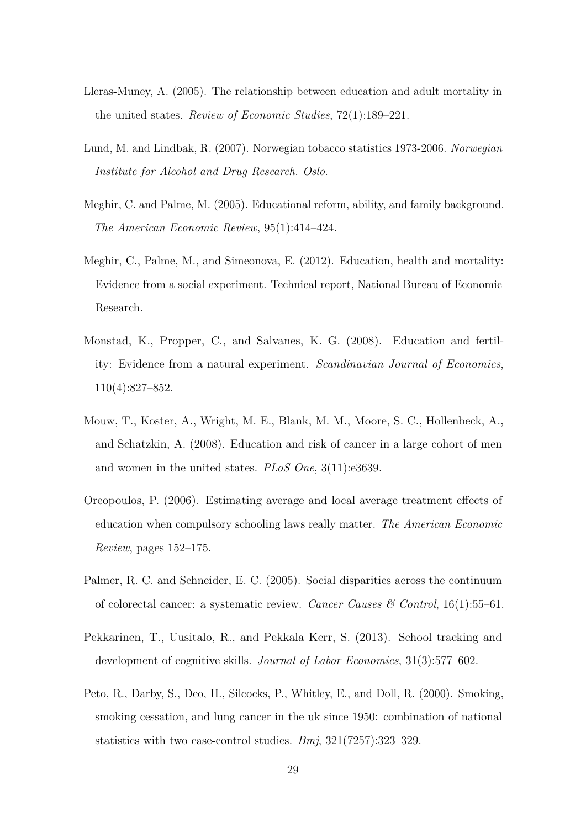- Lleras-Muney, A. (2005). The relationship between education and adult mortality in the united states. *Review of Economic Studies*, 72(1):189–221.
- Lund, M. and Lindbak, R. (2007). Norwegian tobacco statistics 1973-2006. *Norwegian Institute for Alcohol and Drug Research. Oslo*.
- Meghir, C. and Palme, M. (2005). Educational reform, ability, and family background. *The American Economic Review*, 95(1):414–424.
- Meghir, C., Palme, M., and Simeonova, E. (2012). Education, health and mortality: Evidence from a social experiment. Technical report, National Bureau of Economic Research.
- Monstad, K., Propper, C., and Salvanes, K. G. (2008). Education and fertility: Evidence from a natural experiment. *Scandinavian Journal of Economics*, 110(4):827–852.
- Mouw, T., Koster, A., Wright, M. E., Blank, M. M., Moore, S. C., Hollenbeck, A., and Schatzkin, A. (2008). Education and risk of cancer in a large cohort of men and women in the united states. *PLoS One*, 3(11):e3639.
- Oreopoulos, P. (2006). Estimating average and local average treatment effects of education when compulsory schooling laws really matter. *The American Economic Review*, pages 152–175.
- Palmer, R. C. and Schneider, E. C. (2005). Social disparities across the continuum of colorectal cancer: a systematic review. *Cancer Causes & Control*, 16(1):55–61.
- Pekkarinen, T., Uusitalo, R., and Pekkala Kerr, S. (2013). School tracking and development of cognitive skills. *Journal of Labor Economics*, 31(3):577–602.
- Peto, R., Darby, S., Deo, H., Silcocks, P., Whitley, E., and Doll, R. (2000). Smoking, smoking cessation, and lung cancer in the uk since 1950: combination of national statistics with two case-control studies. *Bmj*, 321(7257):323–329.